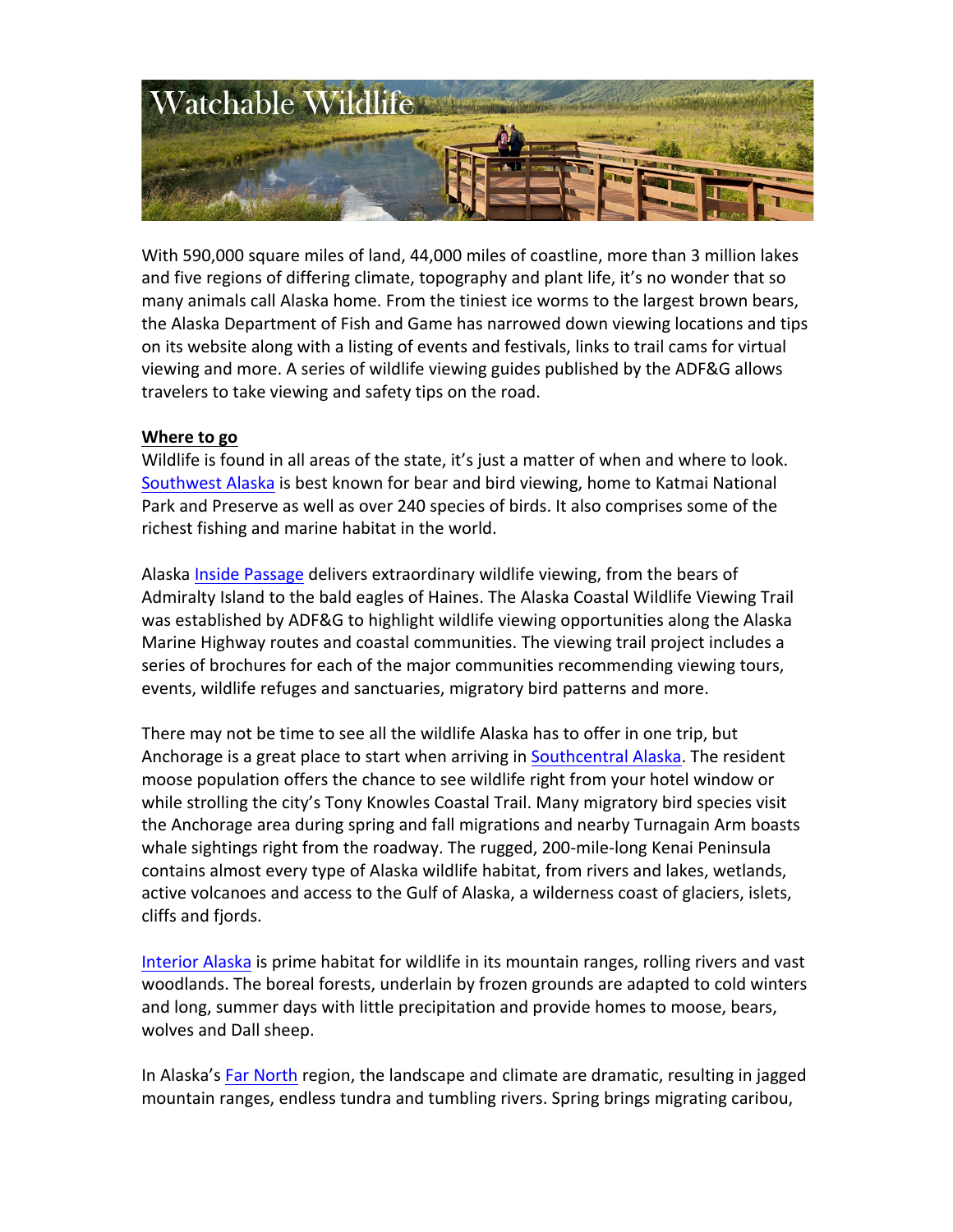

With 590,000 square miles of land, 44,000 miles of coastline, more than 3 million lakes and five regions of differing climate, topography and plant life, it's no wonder that so many animals call Alaska home. From the tiniest ice worms to the largest brown bears, the Alaska Department of Fish and Game has narrowed down viewing locations and tips on its website along with a listing of events and festivals, links to trail cams for virtual viewing and more. A series of wildlife viewing guides published by the ADF&G allows travelers to take viewing and safety tips on the road.

# **Where to go**

Wildlife is found in all areas of the state, it's just a matter of when and where to look. Southwest Alaska is best known for bear and bird viewing, home to Katmai National Park and Preserve as well as over 240 species of birds. It also comprises some of the richest fishing and marine habitat in the world.

Alaska Inside Passage delivers extraordinary wildlife viewing, from the bears of Admiralty Island to the bald eagles of Haines. The Alaska Coastal Wildlife Viewing Trail was established by ADF&G to highlight wildlife viewing opportunities along the Alaska Marine Highway routes and coastal communities. The viewing trail project includes a series of brochures for each of the major communities recommending viewing tours, events, wildlife refuges and sanctuaries, migratory bird patterns and more.

There may not be time to see all the wildlife Alaska has to offer in one trip, but Anchorage is a great place to start when arriving in Southcentral Alaska. The resident moose population offers the chance to see wildlife right from your hotel window or while strolling the city's Tony Knowles Coastal Trail. Many migratory bird species visit the Anchorage area during spring and fall migrations and nearby Turnagain Arm boasts whale sightings right from the roadway. The rugged, 200-mile-long Kenai Peninsula contains almost every type of Alaska wildlife habitat, from rivers and lakes, wetlands, active volcanoes and access to the Gulf of Alaska, a wilderness coast of glaciers, islets, cliffs and fjords.

Interior Alaska is prime habitat for wildlife in its mountain ranges, rolling rivers and vast woodlands. The boreal forests, underlain by frozen grounds are adapted to cold winters and long, summer days with little precipitation and provide homes to moose, bears, wolves and Dall sheep.

In Alaska's Far North region, the landscape and climate are dramatic, resulting in jagged mountain ranges, endless tundra and tumbling rivers. Spring brings migrating caribou,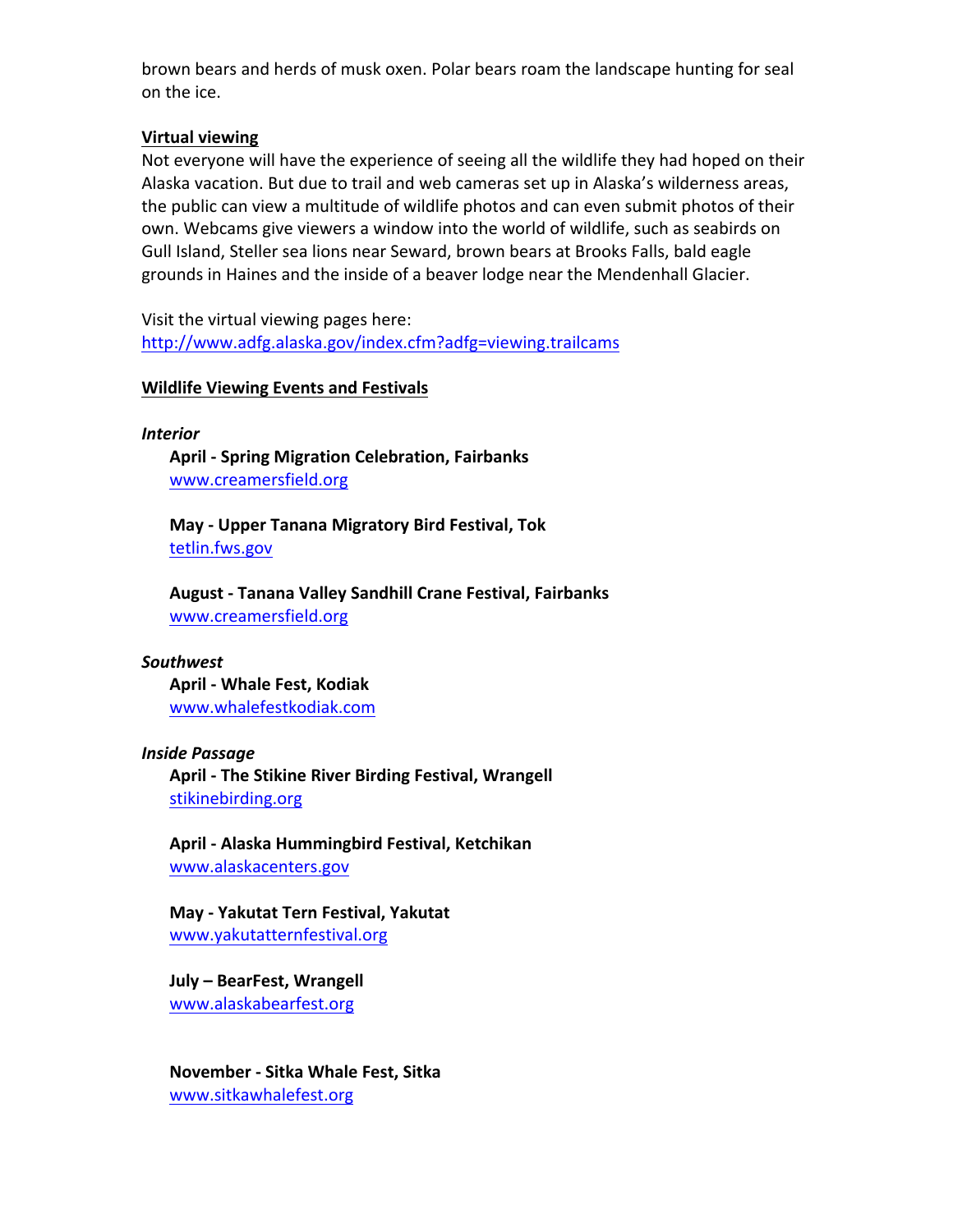brown bears and herds of musk oxen. Polar bears roam the landscape hunting for seal on the ice.

# **Virtual viewing**

Not everyone will have the experience of seeing all the wildlife they had hoped on their Alaska vacation. But due to trail and web cameras set up in Alaska's wilderness areas, the public can view a multitude of wildlife photos and can even submit photos of their own. Webcams give viewers a window into the world of wildlife, such as seabirds on Gull Island, Steller sea lions near Seward, brown bears at Brooks Falls, bald eagle grounds in Haines and the inside of a beaver lodge near the Mendenhall Glacier.

Visit the virtual viewing pages here: http://www.adfg.alaska.gov/index.cfm?adfg=viewing.trailcams

# **Wildlife Viewing Events and Festivals**

*Interior*

**April - Spring Migration Celebration, Fairbanks** www.creamersfield.org

**May - Upper Tanana Migratory Bird Festival, Tok** tetlin.fws.gov

**August - Tanana Valley Sandhill Crane Festival, Fairbanks** www.creamersfield.org

### *Southwest*

**April - Whale Fest, Kodiak** www.whalefestkodiak.com

### *Inside Passage*

April - The Stikine River Birding Festival, Wrangell stikinebirding.org

**April - Alaska Hummingbird Festival, Ketchikan** www.alaskacenters.gov 

**May - Yakutat Tern Festival, Yakutat** www.yakutatternfestival.org

**July – BearFest, Wrangell** www.alaskabearfest.org

**November - Sitka Whale Fest, Sitka** www.sitkawhalefest.org